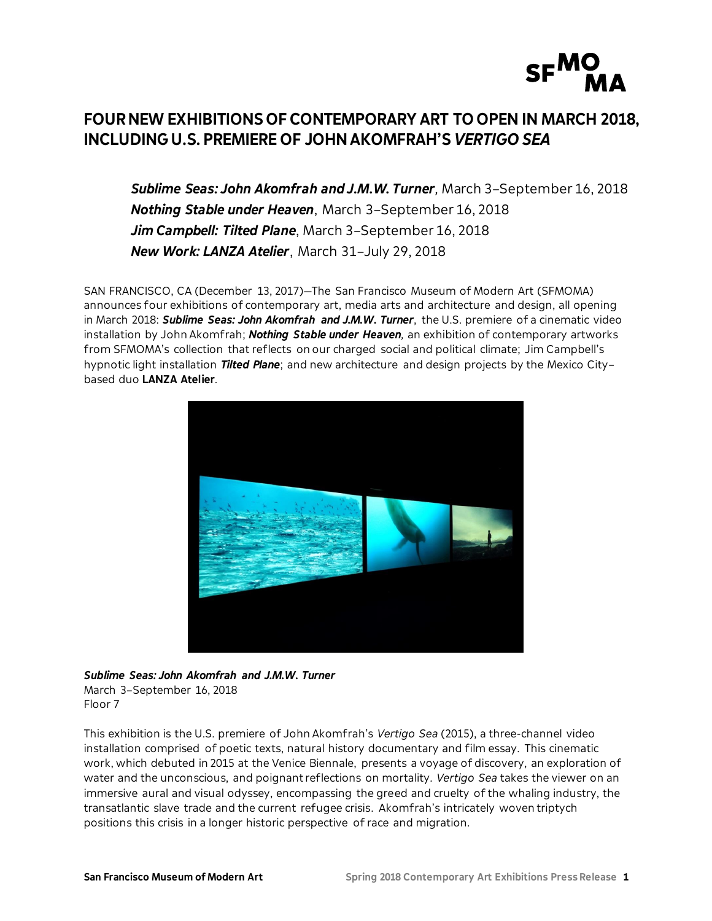

# **FOUR NEW EXHIBITIONS OF CONTEMPORARY ART TO OPEN IN MARCH 2018, INCLUDING U.S. PREMIERE OF JOHN AKOMFRAH'S***VERTIGO SEA*

*Sublime Seas: John Akomfrah and J.M.W. Turner,* March 3–September 16, 2018 *Nothing Stable under Heaven*, March 3–September 16, 2018 *Jim Campbell: Tilted Plane*, March 3–September 16, 2018 *New Work: LANZA Atelier*, March 31–July 29, 2018

SAN FRANCISCO, CA (December 13, 2017)—The San Francisco Museum of Modern Art (SFMOMA) announces four exhibitions of contemporary art, media arts and architecture and design, all opening in March 2018: *Sublime Seas: John Akomfrah and J.M.W. Turner*, the U.S. premiere of a cinematic video installation by John Akomfrah; *Nothing Stable under Heaven,* an exhibition of contemporary artworks from SFMOMA's collection that reflects on our charged social and political climate; Jim Campbell's hypnotic light installation *Tilted Plane*; and new architecture and design projects by the Mexico City– based duo **LANZA Atelier**.



*Sublime Seas: John Akomfrah and J.M.W. Turner* March 3–September 16, 2018 Floor 7

This exhibition is the U.S. premiere of John Akomfrah's *Vertigo Sea* (2015), a three-channel video installation comprised of poetic texts, natural history documentary and film essay. This cinematic work, which debuted in 2015 at the Venice Biennale, presents a voyage of discovery, an exploration of water and the unconscious, and poignant reflections on mortality. *Vertigo Sea* takes the viewer on an immersive aural and visual odyssey, encompassing the greed and cruelty of the whaling industry, the transatlantic slave trade and the current refugee crisis. Akomfrah's intricately woven triptych positions this crisis in a longer historic perspective of race and migration.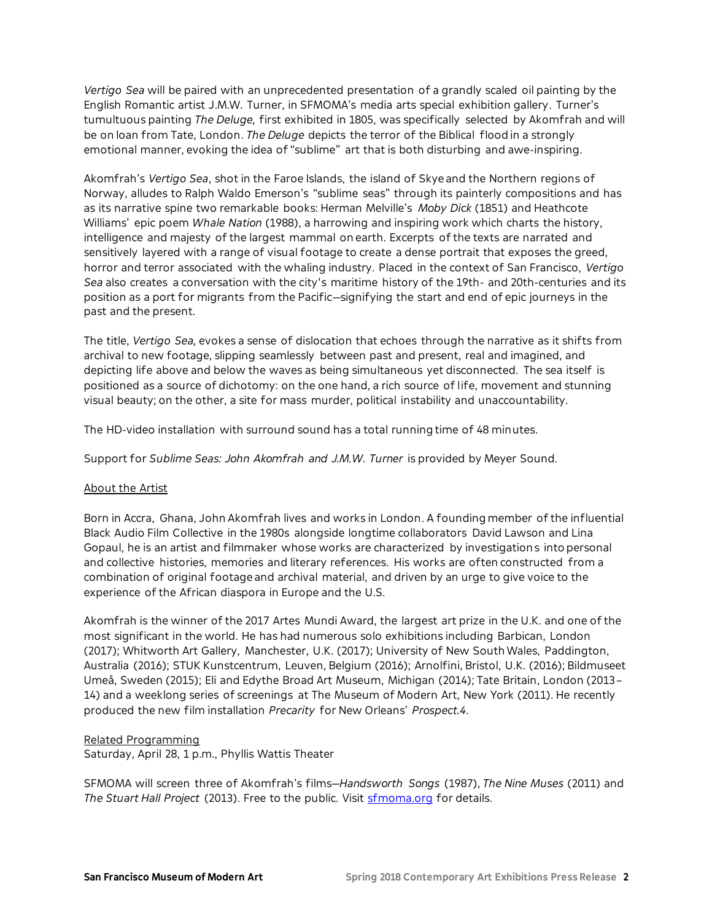*Vertigo Sea* will be paired with an unprecedented presentation of a grandly scaled oil painting by the English Romantic artist J.M.W. Turner, in SFMOMA's media arts special exhibition gallery. Turner's tumultuous painting *The Deluge,* first exhibited in 1805, was specifically selected by Akomfrah and will be on loan from Tate, London. *The Deluge* depicts the terror of the Biblical flood in a strongly emotional manner, evoking the idea of "sublime" art that is both disturbing and awe-inspiring.

Akomfrah's *Vertigo Sea*, shot in the Faroe Islands, the island of Skye and the Northern regions of Norway, alludes to Ralph Waldo Emerson's "sublime seas" through its painterly compositions and has as its narrative spine two remarkable books: Herman Melville's *Moby Dick* (1851) and Heathcote Williams' epic poem *Whale Nation* (1988), a harrowing and inspiring work which charts the history, intelligence and majesty of the largest mammal on earth. Excerpts of the texts are narrated and sensitively layered with a range of visual footage to create a dense portrait that exposes the greed, horror and terror associated with the whaling industry. Placed in the context of San Francisco, *Vertigo Sea* also creates a conversation with the city's maritime history of the 19th- and 20th-centuries and its position as a port for migrants from the Pacific—signifying the start and end of epic journeys in the past and the present.

The title, *Vertigo Sea,* evokes a sense of dislocation that echoes through the narrative as it shifts from archival to new footage, slipping seamlessly between past and present, real and imagined, and depicting life above and below the waves as being simultaneous yet disconnected. The sea itself is positioned as a source of dichotomy: on the one hand, a rich source of life, movement and stunning visual beauty; on the other, a site for mass murder, political instability and unaccountability.

The HD-video installation with surround sound has a total running time of 48 minutes.

Support for *Sublime Seas: John Akomfrah and J.M.W. Turner* is provided by Meyer Sound.

# About the Artist

Born in Accra, Ghana, John Akomfrah lives and works in London. A founding member of the influential Black Audio Film Collective in the 1980s alongside longtime collaborators David Lawson and Lina Gopaul, he is an artist and filmmaker whose works are characterized by investigations into personal and collective histories, memories and literary references. His works are often constructed from a combination of original footage and archival material, and driven by an urge to give voice to the experience of the African diaspora in Europe and the U.S.

Akomfrah is the winner of the 2017 Artes Mundi Award, the largest art prize in the U.K. and one of the most significant in the world. He has had numerous solo exhibitions including Barbican, London (2017); Whitworth Art Gallery, Manchester, U.K. (2017); University of New South Wales, Paddington, Australia (2016); STUK Kunstcentrum, Leuven, Belgium (2016); Arnolfini, Bristol, U.K. (2016); Bildmuseet Umeå, Sweden (2015); Eli and Edythe Broad Art Museum, Michigan (2014); Tate Britain, London (2013– 14) and a weeklong series of screenings at The Museum of Modern Art, New York (2011). He recently produced the new film installation *Precarity* for New Orleans' *Prospect.4*.

### Related Programming

Saturday, April 28, 1 p.m., Phyllis Wattis Theater

SFMOMA will screen three of Akomfrah's films—*Handsworth Songs* (1987), *The Nine Muses* (2011) and The Stuart Hall Project (2013). Free to the public. Visit **[sfmoma.org](https://www.sfmoma.org/)** for details.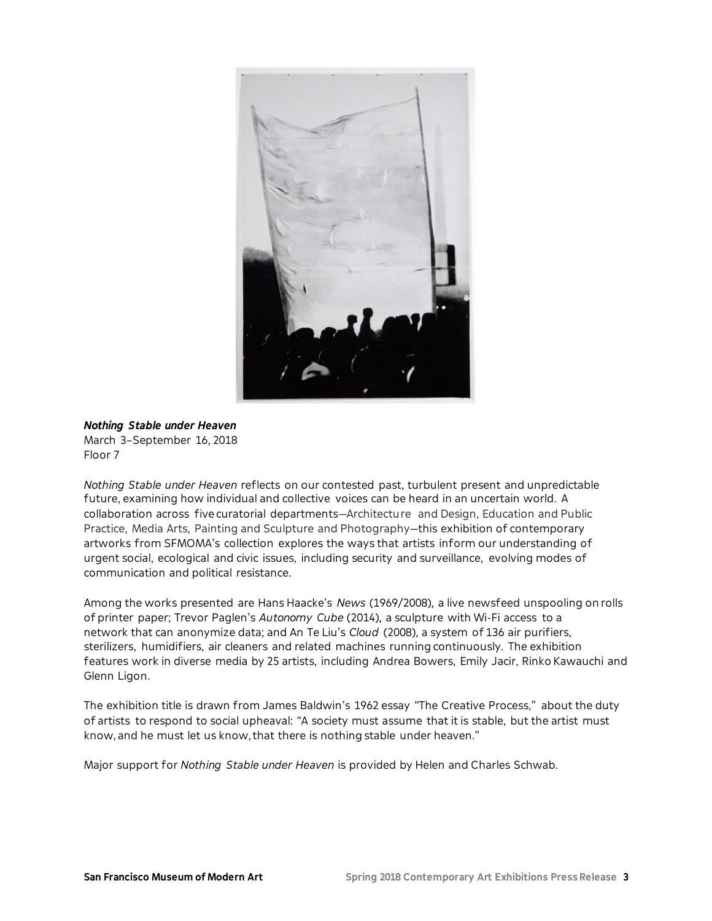

## *Nothing Stable under Heaven* March 3–September 16, 2018 Floor 7

*Nothing Stable under Heaven* reflects on our contested past, turbulent present and unpredictable future, examining how individual and collective voices can be heard in an uncertain world. A collaboration across five curatorial departments—Architecture and Design, Education and Public Practice, Media Arts, Painting and Sculpture and Photography—this exhibition of contemporary artworks from SFMOMA's collection explores the ways that artists inform our understanding of urgent social, ecological and civic issues, including security and surveillance, evolving modes of communication and political resistance.

Among the works presented are Hans Haacke's *News* (1969/2008)*,* a live newsfeed unspooling on rolls of printer paper; Trevor Paglen's *Autonomy Cube* (2014)*,* a sculpture with Wi-Fi access to a network that can anonymize data; and An Te Liu's *Cloud* (2008)*,* a system of 136 air purifiers, sterilizers, humidifiers, air cleaners and related machines running continuously. The exhibition features work in diverse media by 25 artists, including Andrea Bowers, Emily Jacir, Rinko Kawauchi and Glenn Ligon.

The exhibition title is drawn from James Baldwin's 1962 essay "The Creative Process," about the duty of artists to respond to social upheaval: "A society must assume that it is stable, but the artist must know, and he must let us know, that there is nothing stable under heaven."

Major support for *Nothing Stable under Heaven* is provided by Helen and Charles Schwab.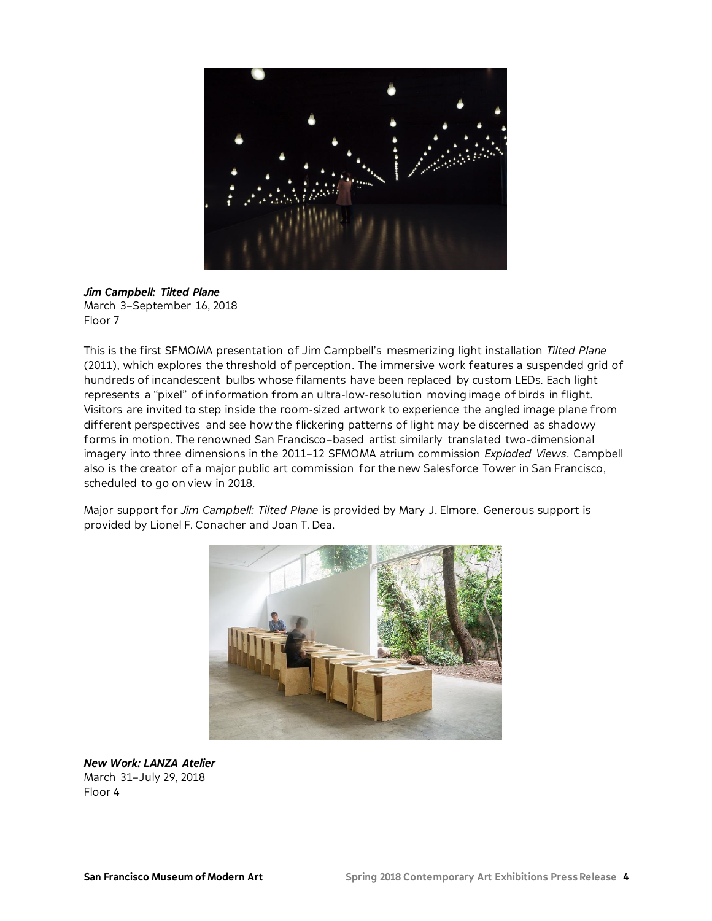

*Jim Campbell: Tilted Plane* March 3–September 16, 2018 Floor 7

This is the first SFMOMA presentation of Jim Campbell's mesmerizing light installation *Tilted Plane* (2011), which explores the threshold of perception. The immersive work features a suspended grid of hundreds of incandescent bulbs whose filaments have been replaced by custom LEDs. Each light represents a "pixel" of information from an ultra-low-resolution moving image of birds in flight. Visitors are invited to step inside the room-sized artwork to experience the angled image plane from different perspectives and see how the flickering patterns of light may be discerned as shadowy forms in motion. The renowned San Francisco–based artist similarly translated two-dimensional imagery into three dimensions in the 2011–12 SFMOMA atrium commission *Exploded Views*. Campbell also is the creator of a major public art commission for the new Salesforce Tower in San Francisco, scheduled to go on view in 2018.

Major support for *Jim Campbell: Tilted Plane* is provided by Mary J. Elmore. Generous support is provided by Lionel F. Conacher and Joan T. Dea.



*New Work: LANZA Atelier* March 31–July 29, 2018 Floor 4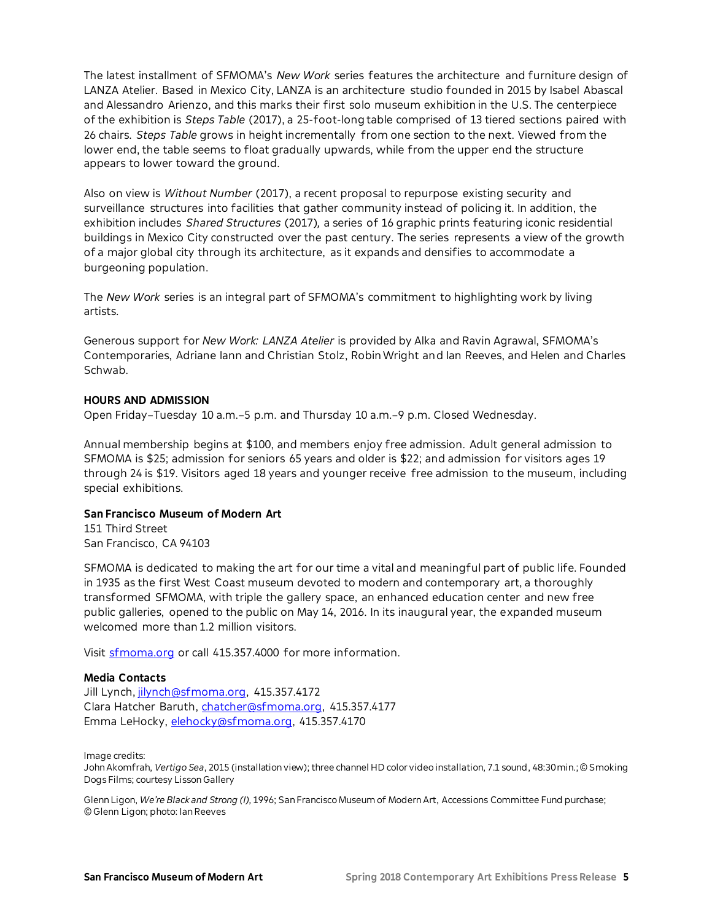The latest installment of SFMOMA's *New Work* series features the architecture and furniture design of LANZA Atelier. Based in Mexico City, LANZA is an architecture studio founded in 2015 by Isabel Abascal and Alessandro Arienzo, and this marks their first solo museum exhibition in the U.S. The centerpiece of the exhibition is *Steps Table* (2017), a 25-foot-long table comprised of 13 tiered sections paired with 26 chairs. *Steps Table* grows in height incrementally from one section to the next. Viewed from the lower end, the table seems to float gradually upwards, while from the upper end the structure appears to lower toward the ground.

Also on view is *Without Number* (2017), a recent proposal to repurpose existing security and surveillance structures into facilities that gather community instead of policing it. In addition, the exhibition includes *Shared Structures* (2017)*,* a series of 16 graphic prints featuring iconic residential buildings in Mexico City constructed over the past century. The series represents a view of the growth of a major global city through its architecture, as it expands and densifies to accommodate a burgeoning population.

The *New Work* series is an integral part of SFMOMA's commitment to highlighting work by living artists.

Generous support for *New Work: LANZA Atelier* is provided by Alka and Ravin Agrawal, SFMOMA's Contemporaries, Adriane Iann and Christian Stolz, Robin Wright and Ian Reeves, and Helen and Charles Schwab.

### **HOURS AND ADMISSION**

Open Friday–Tuesday 10 a.m.–5 p.m. and Thursday 10 a.m.–9 p.m. Closed Wednesday.

Annual membership begins at \$100, and members enjoy free admission. Adult general admission to SFMOMA is \$25; admission for seniors 65 years and older is \$22; and admission for visitors ages 19 through 24 is \$19. Visitors aged 18 years and younger receive free admission to the museum, including special exhibitions.

# **San Francisco Museum of Modern Art**

151 Third Street San Francisco, CA 94103

SFMOMA is dedicated to making the art for our time a vital and meaningful part of public life. Founded in 1935 as the first West Coast museum devoted to modern and contemporary art, a thoroughly transformed SFMOMA, with triple the gallery space, an enhanced education center and new free public galleries, opened to the public on May 14, 2016. In its inaugural year, the expanded museum welcomed more than 1.2 million visitors.

Visit **sfmoma.org** or call 415.357.4000 for more information.

# **Media Contacts**

Jill Lynch[, jilynch@sfmoma.org,](mailto:jilynch@sfmoma.org) 415.357.4172 Clara Hatcher Baruth, [chatcher@sfmoma.org,](mailto:chatcher@sfmoma.org) 415.357.4177 Emma LeHocky, [elehocky@sfmoma.org,](mailto:elehocky@sfmoma.org) 415.357.4170

Image credits:

John Akomfrah, *Vertigo Sea*, 2015 (installation view); three channel HD color video installation, 7.1 sound, 48:30 min.; © Smoking Dogs Films; courtesy Lisson Gallery

Glenn Ligon, *We're Black and Strong (I),* 1996; San Francisco Museum of Modern Art, Accessions Committee Fund purchase; © Glenn Ligon; photo: Ian Reeves